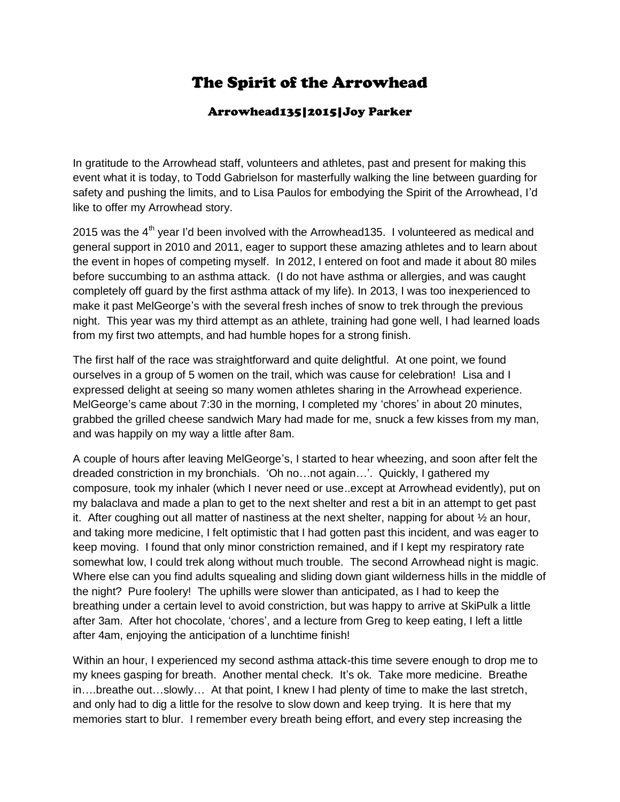## The Spirit of the Arrowhead

## Arrowhead135|2015|Joy Parker

In gratitude to the Arrowhead staff, volunteers and athletes, past and present for making this event what it is today, to Todd Gabrielson for masterfully walking the line between guarding for safety and pushing the limits, and to Lisa Paulos for embodying the Spirit of the Arrowhead, I'd like to offer my Arrowhead story.

2015 was the  $4<sup>th</sup>$  year I'd been involved with the Arrowhead135. I volunteered as medical and general support in 2010 and 2011, eager to support these amazing athletes and to learn about the event in hopes of competing myself. In 2012, I entered on foot and made it about 80 miles before succumbing to an asthma attack. (I do not have asthma or allergies, and was caught completely off guard by the first asthma attack of my life). In 2013, I was too inexperienced to make it past MelGeorge's with the several fresh inches of snow to trek through the previous night. This year was my third attempt as an athlete, training had gone well, I had learned loads from my first two attempts, and had humble hopes for a strong finish.

The first half of the race was straightforward and quite delightful. At one point, we found ourselves in a group of 5 women on the trail, which was cause for celebration! Lisa and I expressed delight at seeing so many women athletes sharing in the Arrowhead experience. MelGeorge's came about 7:30 in the morning, I completed my 'chores' in about 20 minutes, grabbed the grilled cheese sandwich Mary had made for me, snuck a few kisses from my man, and was happily on my way a little after 8am.

A couple of hours after leaving MelGeorge's, I started to hear wheezing, and soon after felt the dreaded constriction in my bronchials. 'Oh no…not again…'. Quickly, I gathered my composure, took my inhaler (which I never need or use..except at Arrowhead evidently), put on my balaclava and made a plan to get to the next shelter and rest a bit in an attempt to get past it. After coughing out all matter of nastiness at the next shelter, napping for about ½ an hour, and taking more medicine, I felt optimistic that I had gotten past this incident, and was eager to keep moving. I found that only minor constriction remained, and if I kept my respiratory rate somewhat low, I could trek along without much trouble. The second Arrowhead night is magic. Where else can you find adults squealing and sliding down giant wilderness hills in the middle of the night? Pure foolery! The uphills were slower than anticipated, as I had to keep the breathing under a certain level to avoid constriction, but was happy to arrive at SkiPulk a little after 3am. After hot chocolate, 'chores', and a lecture from Greg to keep eating, I left a little after 4am, enjoying the anticipation of a lunchtime finish!

Within an hour, I experienced my second asthma attack-this time severe enough to drop me to my knees gasping for breath. Another mental check. It's ok. Take more medicine. Breathe in….breathe out…slowly… At that point, I knew I had plenty of time to make the last stretch, and only had to dig a little for the resolve to slow down and keep trying. It is here that my memories start to blur. I remember every breath being effort, and every step increasing the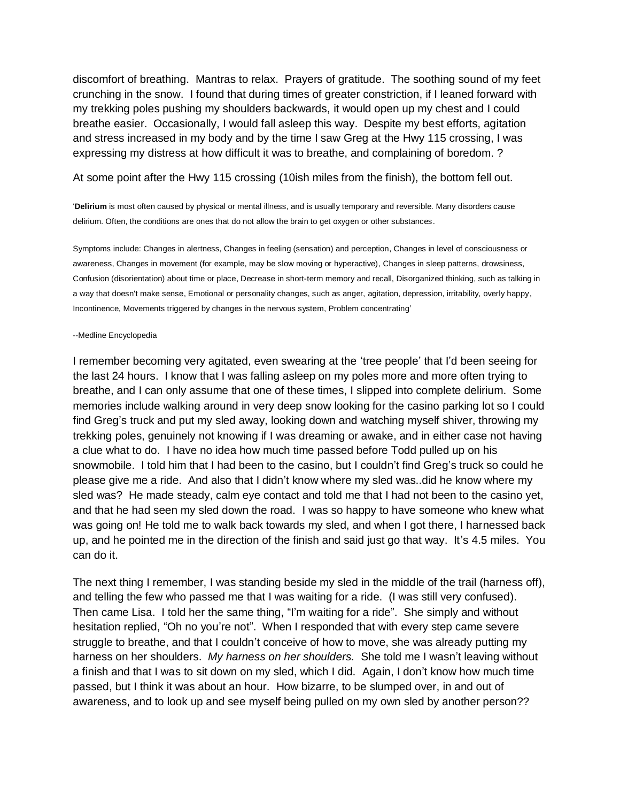discomfort of breathing. Mantras to relax. Prayers of gratitude. The soothing sound of my feet crunching in the snow. I found that during times of greater constriction, if I leaned forward with my trekking poles pushing my shoulders backwards, it would open up my chest and I could breathe easier. Occasionally, I would fall asleep this way. Despite my best efforts, agitation and stress increased in my body and by the time I saw Greg at the Hwy 115 crossing, I was expressing my distress at how difficult it was to breathe, and complaining of boredom. ?

At some point after the Hwy 115 crossing (10ish miles from the finish), the bottom fell out.

'**Delirium** is most often caused by physical or mental illness, and is usually temporary and reversible. Many disorders cause delirium. Often, the conditions are ones that do not allow the brain to get oxygen or other substances.

Symptoms include: Changes in alertness, Changes in feeling (sensation) and perception, Changes in level of consciousness or awareness, Changes in movement (for example, may be slow moving or hyperactive), Changes in sleep patterns, drowsiness, Confusion (disorientation) about time or place, Decrease in short-term memory and recall, Disorganized thinking, such as talking in a way that doesn't make sense, Emotional or personality changes, such as anger, agitation, depression, irritability, overly happy, Incontinence, Movements triggered by changes in the nervous system, Problem concentrating'

## --Medline Encyclopedia

I remember becoming very agitated, even swearing at the 'tree people' that I'd been seeing for the last 24 hours. I know that I was falling asleep on my poles more and more often trying to breathe, and I can only assume that one of these times, I slipped into complete delirium. Some memories include walking around in very deep snow looking for the casino parking lot so I could find Greg's truck and put my sled away, looking down and watching myself shiver, throwing my trekking poles, genuinely not knowing if I was dreaming or awake, and in either case not having a clue what to do. I have no idea how much time passed before Todd pulled up on his snowmobile. I told him that I had been to the casino, but I couldn't find Greg's truck so could he please give me a ride. And also that I didn't know where my sled was..did he know where my sled was? He made steady, calm eye contact and told me that I had not been to the casino yet, and that he had seen my sled down the road. I was so happy to have someone who knew what was going on! He told me to walk back towards my sled, and when I got there, I harnessed back up, and he pointed me in the direction of the finish and said just go that way. It's 4.5 miles. You can do it.

The next thing I remember, I was standing beside my sled in the middle of the trail (harness off), and telling the few who passed me that I was waiting for a ride. (I was still very confused). Then came Lisa. I told her the same thing, "I'm waiting for a ride". She simply and without hesitation replied, "Oh no you're not". When I responded that with every step came severe struggle to breathe, and that I couldn't conceive of how to move, she was already putting my harness on her shoulders. *My harness on her shoulders.* She told me I wasn't leaving without a finish and that I was to sit down on my sled, which I did. Again, I don't know how much time passed, but I think it was about an hour. How bizarre, to be slumped over, in and out of awareness, and to look up and see myself being pulled on my own sled by another person??